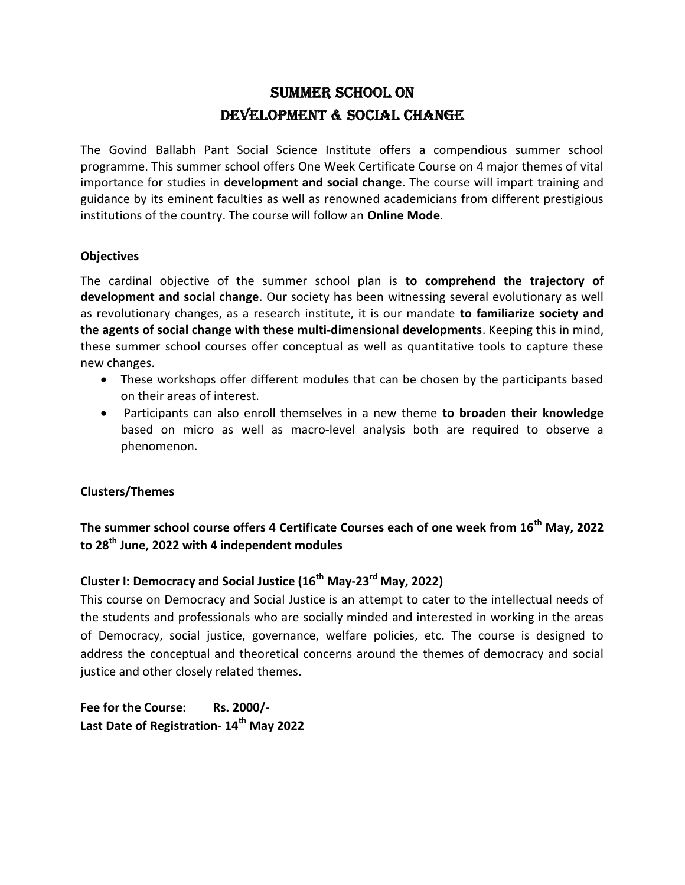# Summer School on DEVELOPMENT & SOCIAL CHANGE

The Govind Ballabh Pant Social Science Institute offers a compendious summer school programme. This summer school offers One Week Certificate Course on 4 major themes of vital importance for studies in development and social change. The course will impart training and guidance by its eminent faculties as well as renowned academicians from different prestigious institutions of the country. The course will follow an Online Mode.

#### **Objectives**

The cardinal objective of the summer school plan is to comprehend the trajectory of development and social change. Our society has been witnessing several evolutionary as well as revolutionary changes, as a research institute, it is our mandate to familiarize society and the agents of social change with these multi-dimensional developments. Keeping this in mind, these summer school courses offer conceptual as well as quantitative tools to capture these new changes.

- These workshops offer different modules that can be chosen by the participants based on their areas of interest.
- Participants can also enroll themselves in a new theme to broaden their knowledge based on micro as well as macro-level analysis both are required to observe a phenomenon.

### Clusters/Themes

## The summer school course offers 4 Certificate Courses each of one week from 16<sup>th</sup> May, 2022 to 28<sup>th</sup> June, 2022 with 4 independent modules

# Cluster I: Democracy and Social Justice  $(16^{th}$  May-23<sup>rd</sup> May, 2022)

This course on Democracy and Social Justice is an attempt to cater to the intellectual needs of the students and professionals who are socially minded and interested in working in the areas of Democracy, social justice, governance, welfare policies, etc. The course is designed to address the conceptual and theoretical concerns around the themes of democracy and social justice and other closely related themes.

Fee for the Course: Rs. 2000/-Last Date of Registration- 14<sup>th</sup> May 2022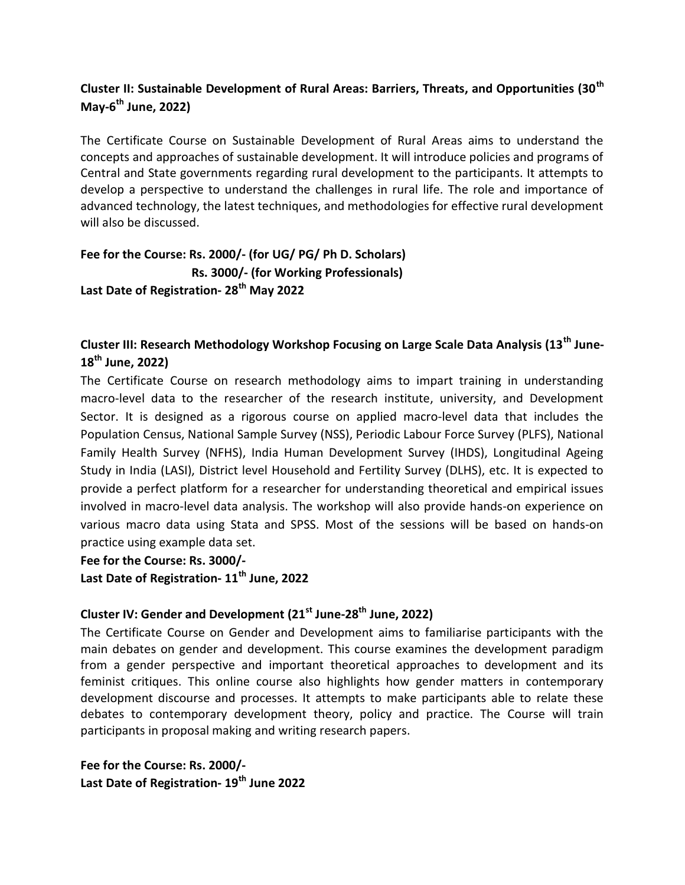## Cluster II: Sustainable Development of Rural Areas: Barriers, Threats, and Opportunities (30<sup>th</sup>) May- $6^{th}$  June, 2022)

The Certificate Course on Sustainable Development of Rural Areas aims to understand the concepts and approaches of sustainable development. It will introduce policies and programs of Central and State governments regarding rural development to the participants. It attempts to develop a perspective to understand the challenges in rural life. The role and importance of advanced technology, the latest techniques, and methodologies for effective rural development will also be discussed.

Fee for the Course: Rs. 2000/- (for UG/ PG/ Ph D. Scholars) Rs. 3000/- (for Working Professionals) Last Date of Registration- 28<sup>th</sup> May 2022

# Cluster III: Research Methodology Workshop Focusing on Large Scale Data Analysis (13<sup>th</sup> June- $18^{th}$  June, 2022)

The Certificate Course on research methodology aims to impart training in understanding macro-level data to the researcher of the research institute, university, and Development Sector. It is designed as a rigorous course on applied macro-level data that includes the Population Census, National Sample Survey (NSS), Periodic Labour Force Survey (PLFS), National Family Health Survey (NFHS), India Human Development Survey (IHDS), Longitudinal Ageing Study in India (LASI), District level Household and Fertility Survey (DLHS), etc. It is expected to provide a perfect platform for a researcher for understanding theoretical and empirical issues involved in macro-level data analysis. The workshop will also provide hands-on experience on various macro data using Stata and SPSS. Most of the sessions will be based on hands-on practice using example data set.

Fee for the Course: Rs. 3000/-

Last Date of Registration- 11<sup>th</sup> June, 2022

# Cluster IV: Gender and Development (21<sup>st</sup> June-28<sup>th</sup> June. 2022)

The Certificate Course on Gender and Development aims to familiarise participants with the main debates on gender and development. This course examines the development paradigm from a gender perspective and important theoretical approaches to development and its feminist critiques. This online course also highlights how gender matters in contemporary development discourse and processes. It attempts to make participants able to relate these debates to contemporary development theory, policy and practice. The Course will train participants in proposal making and writing research papers.

Fee for the Course: Rs. 2000/- Last Date of Registration- 19<sup>th</sup> June 2022